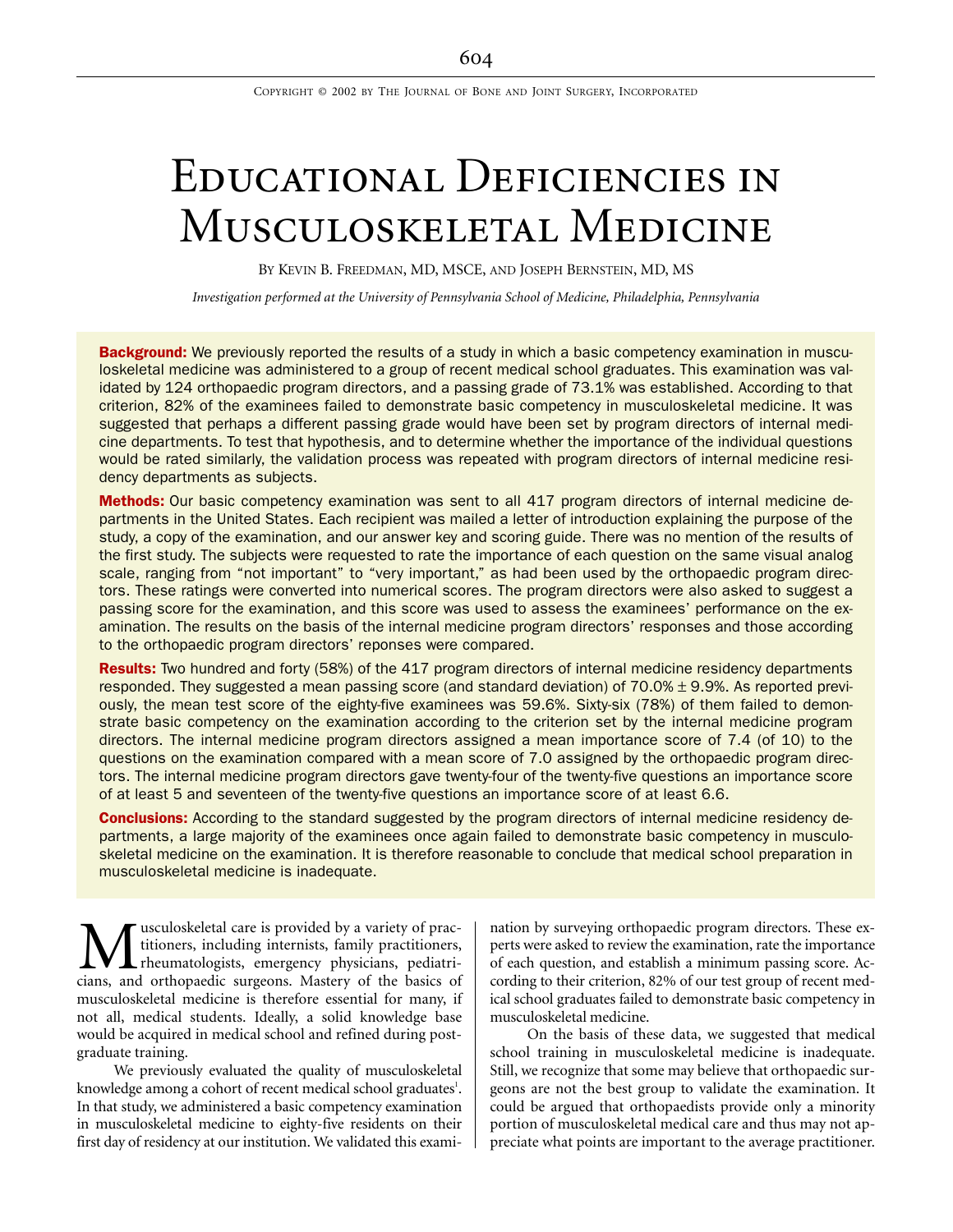COPYRIGHT © 2002 BY THE JOURNAL OF BONE AND JOINT SURGERY, INCORPORATED

# Educational Deficiencies in MUSCULOSKELETAL MEDICINE

BY KEVIN B. FREEDMAN, MD, MSCE, AND JOSEPH BERNSTEIN, MD, MS

*Investigation performed at the University of Pennsylvania School of Medicine, Philadelphia, Pennsylvania*

Background: We previously reported the results of a study in which a basic competency examination in musculoskeletal medicine was administered to a group of recent medical school graduates. This examination was validated by 124 orthopaedic program directors, and a passing grade of 73.1% was established. According to that criterion, 82% of the examinees failed to demonstrate basic competency in musculoskeletal medicine. It was suggested that perhaps a different passing grade would have been set by program directors of internal medicine departments. To test that hypothesis, and to determine whether the importance of the individual questions would be rated similarly, the validation process was repeated with program directors of internal medicine residency departments as subjects.

Methods: Our basic competency examination was sent to all 417 program directors of internal medicine departments in the United States. Each recipient was mailed a letter of introduction explaining the purpose of the study, a copy of the examination, and our answer key and scoring guide. There was no mention of the results of the first study. The subjects were requested to rate the importance of each question on the same visual analog scale, ranging from "not important" to "very important," as had been used by the orthopaedic program directors. These ratings were converted into numerical scores. The program directors were also asked to suggest a passing score for the examination, and this score was used to assess the examinees' performance on the examination. The results on the basis of the internal medicine program directors' responses and those according to the orthopaedic program directors' reponses were compared.

Results: Two hundred and forty (58%) of the 417 program directors of internal medicine residency departments responded. They suggested a mean passing score (and standard deviation) of 70.0% ± 9.9%. As reported previously, the mean test score of the eighty-five examinees was 59.6%. Sixty-six (78%) of them failed to demonstrate basic competency on the examination according to the criterion set by the internal medicine program directors. The internal medicine program directors assigned a mean importance score of 7.4 (of 10) to the questions on the examination compared with a mean score of 7.0 assigned by the orthopaedic program directors. The internal medicine program directors gave twenty-four of the twenty-five questions an importance score of at least 5 and seventeen of the twenty-five questions an importance score of at least 6.6.

**Conclusions:** According to the standard suggested by the program directors of internal medicine residency departments, a large majority of the examinees once again failed to demonstrate basic competency in musculoskeletal medicine on the examination. It is therefore reasonable to conclude that medical school preparation in musculoskeletal medicine is inadequate.

usculoskeletal care is provided by a variety of practitioners, including internists, family practitioners, rheumatologists, emergency physicians, pediatri-**M** usculoskeletal care is provided by a variety of practitioners, including internists, family practitioners, chemical orthopaedic surgeons. Mastery of the basics of musculoskeletal medicine is therefore essential for many, if not all, medical students. Ideally, a solid knowledge base would be acquired in medical school and refined during postgraduate training.

We previously evaluated the quality of musculoskeletal knowledge among a cohort of recent medical school graduates<sup>1</sup>. In that study, we administered a basic competency examination in musculoskeletal medicine to eighty-five residents on their first day of residency at our institution. We validated this examination by surveying orthopaedic program directors. These experts were asked to review the examination, rate the importance of each question, and establish a minimum passing score. According to their criterion, 82% of our test group of recent medical school graduates failed to demonstrate basic competency in musculoskeletal medicine.

On the basis of these data, we suggested that medical school training in musculoskeletal medicine is inadequate. Still, we recognize that some may believe that orthopaedic surgeons are not the best group to validate the examination. It could be argued that orthopaedists provide only a minority portion of musculoskeletal medical care and thus may not appreciate what points are important to the average practitioner.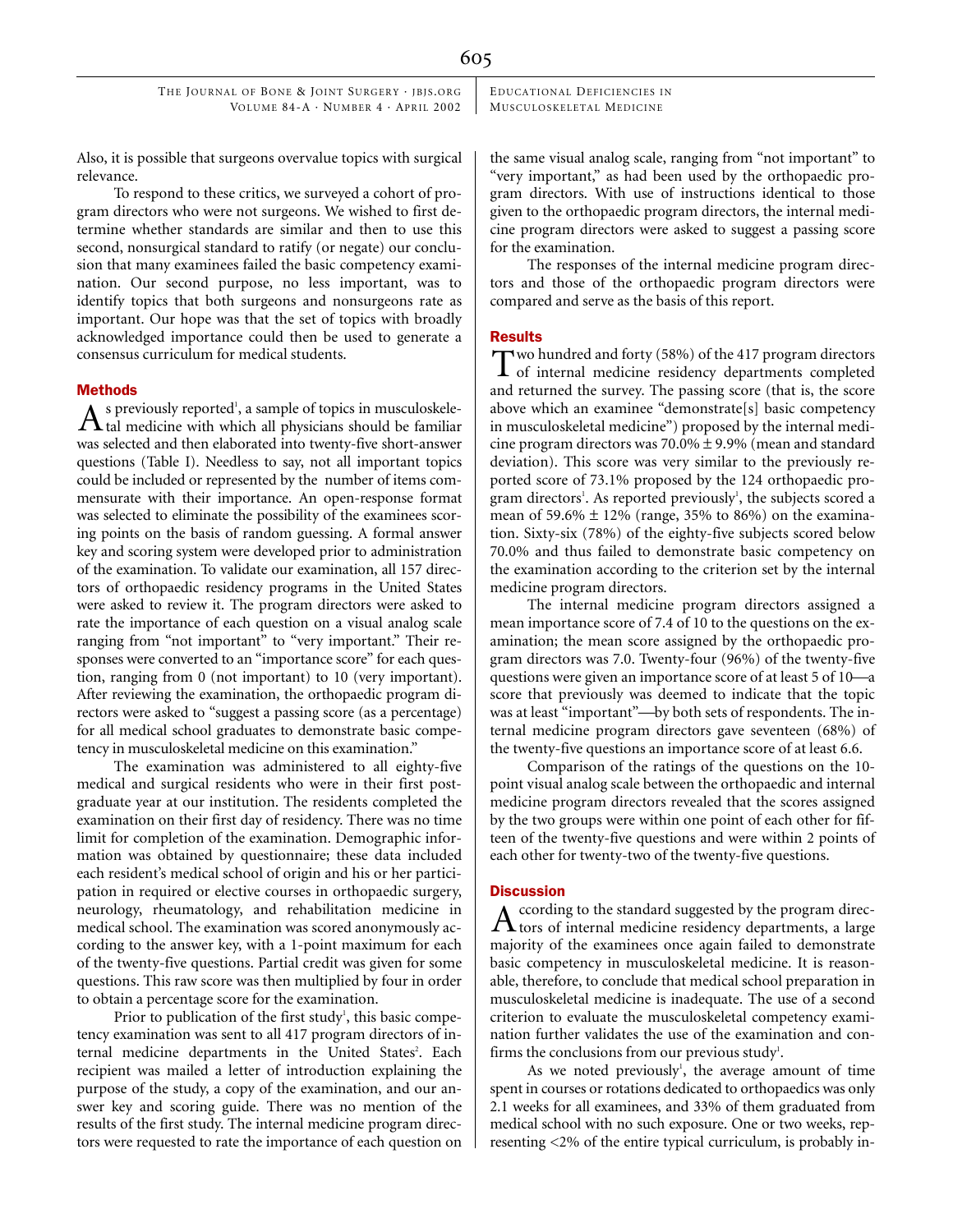THE JOURNAL OF BONE & JOINT SURGERY · IBIS.ORG VOLUME 84-A · NUMBER 4 · APRIL 2002 EDUCATIONAL DEFICIENCIES IN MUSCULOSKELETAL MEDICINE

Also, it is possible that surgeons overvalue topics with surgical relevance.

To respond to these critics, we surveyed a cohort of program directors who were not surgeons. We wished to first determine whether standards are similar and then to use this second, nonsurgical standard to ratify (or negate) our conclusion that many examinees failed the basic competency examination. Our second purpose, no less important, was to identify topics that both surgeons and nonsurgeons rate as important. Our hope was that the set of topics with broadly acknowledged importance could then be used to generate a consensus curriculum for medical students.

## Methods

s previously reported<sup>1</sup>, a sample of topics in musculoskele- $A$  is previously reported<sup>1</sup>, a sample of topics in musculoskele-<br>tal medicine with which all physicians should be familiar was selected and then elaborated into twenty-five short-answer questions (Table I). Needless to say, not all important topics could be included or represented by the number of items commensurate with their importance. An open-response format was selected to eliminate the possibility of the examinees scoring points on the basis of random guessing. A formal answer key and scoring system were developed prior to administration of the examination. To validate our examination, all 157 directors of orthopaedic residency programs in the United States were asked to review it. The program directors were asked to rate the importance of each question on a visual analog scale ranging from "not important" to "very important." Their responses were converted to an "importance score" for each question, ranging from 0 (not important) to 10 (very important). After reviewing the examination, the orthopaedic program directors were asked to "suggest a passing score (as a percentage) for all medical school graduates to demonstrate basic competency in musculoskeletal medicine on this examination."

The examination was administered to all eighty-five medical and surgical residents who were in their first postgraduate year at our institution. The residents completed the examination on their first day of residency. There was no time limit for completion of the examination. Demographic information was obtained by questionnaire; these data included each resident's medical school of origin and his or her participation in required or elective courses in orthopaedic surgery, neurology, rheumatology, and rehabilitation medicine in medical school. The examination was scored anonymously according to the answer key, with a 1-point maximum for each of the twenty-five questions. Partial credit was given for some questions. This raw score was then multiplied by four in order to obtain a percentage score for the examination.

Prior to publication of the first study<sup>1</sup>, this basic competency examination was sent to all 417 program directors of internal medicine departments in the United States<sup>2</sup>. Each recipient was mailed a letter of introduction explaining the purpose of the study, a copy of the examination, and our answer key and scoring guide. There was no mention of the results of the first study. The internal medicine program directors were requested to rate the importance of each question on the same visual analog scale, ranging from "not important" to "very important," as had been used by the orthopaedic program directors. With use of instructions identical to those given to the orthopaedic program directors, the internal medicine program directors were asked to suggest a passing score for the examination.

The responses of the internal medicine program directors and those of the orthopaedic program directors were compared and serve as the basis of this report.

### Results

wo hundred and forty (58%) of the 417 program directors Two hundred and forty (58%) of the 417 program directors<br>of internal medicine residency departments completed and returned the survey. The passing score (that is, the score above which an examinee "demonstrate[s] basic competency in musculoskeletal medicine") proposed by the internal medicine program directors was 70.0% ± 9.9% (mean and standard deviation). This score was very similar to the previously reported score of 73.1% proposed by the 124 orthopaedic program directors<sup>1</sup>. As reported previously<sup>1</sup>, the subjects scored a mean of 59.6%  $\pm$  12% (range, 35% to 86%) on the examination. Sixty-six (78%) of the eighty-five subjects scored below 70.0% and thus failed to demonstrate basic competency on the examination according to the criterion set by the internal medicine program directors.

The internal medicine program directors assigned a mean importance score of 7.4 of 10 to the questions on the examination; the mean score assigned by the orthopaedic program directors was 7.0. Twenty-four (96%) of the twenty-five questions were given an importance score of at least  $5$  of  $10$ —a score that previously was deemed to indicate that the topic was at least "important"-by both sets of respondents. The internal medicine program directors gave seventeen (68%) of the twenty-five questions an importance score of at least 6.6.

Comparison of the ratings of the questions on the 10 point visual analog scale between the orthopaedic and internal medicine program directors revealed that the scores assigned by the two groups were within one point of each other for fifteen of the twenty-five questions and were within 2 points of each other for twenty-two of the twenty-five questions.

## **Discussion**

ccording to the standard suggested by the program direc- $\rm A$  ccording to the standard suggested by the program directors of internal medicine residency departments, a large majority of the examinees once again failed to demonstrate basic competency in musculoskeletal medicine. It is reasonable, therefore, to conclude that medical school preparation in musculoskeletal medicine is inadequate. The use of a second criterion to evaluate the musculoskeletal competency examination further validates the use of the examination and confirms the conclusions from our previous study<sup>1</sup>.

As we noted previously<sup>1</sup>, the average amount of time spent in courses or rotations dedicated to orthopaedics was only 2.1 weeks for all examinees, and 33% of them graduated from medical school with no such exposure. One or two weeks, representing <2% of the entire typical curriculum, is probably in-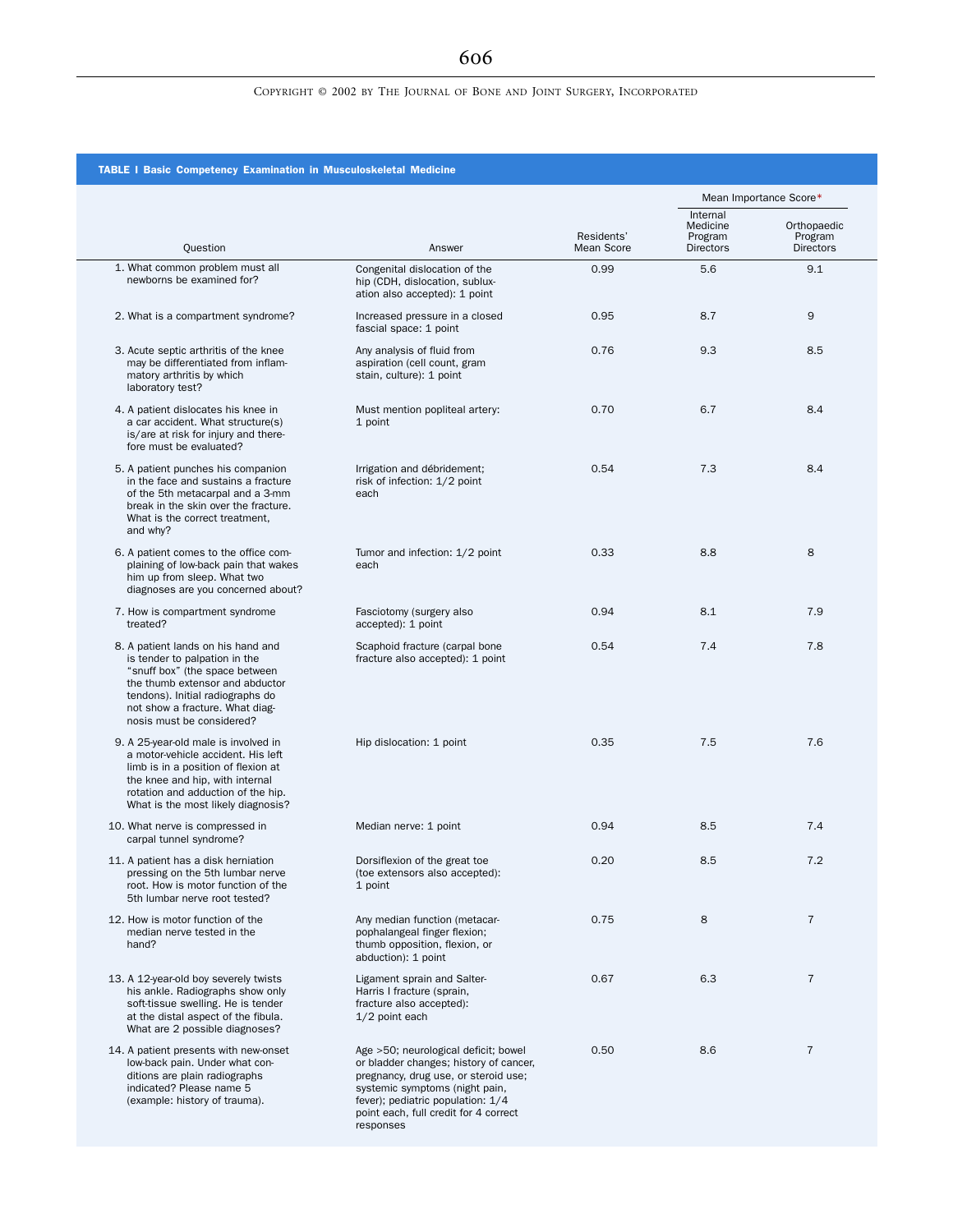# COPYRIGHT © 2002 BY THE JOURNAL OF BONE AND JOINT SURGERY, INCORPORATED

# TABLE I Basic Competency Examination in Musculoskeletal Medicine

|                                                                                                                                                                                                                                              |                                                                                                                                                                                                                                                     |                          | Mean Importance Score*                       |                                            |
|----------------------------------------------------------------------------------------------------------------------------------------------------------------------------------------------------------------------------------------------|-----------------------------------------------------------------------------------------------------------------------------------------------------------------------------------------------------------------------------------------------------|--------------------------|----------------------------------------------|--------------------------------------------|
| Question                                                                                                                                                                                                                                     | Answer                                                                                                                                                                                                                                              | Residents'<br>Mean Score | Internal<br>Medicine<br>Program<br>Directors | Orthopaedic<br>Program<br><b>Directors</b> |
| 1. What common problem must all<br>newborns be examined for?                                                                                                                                                                                 | Congenital dislocation of the<br>hip (CDH, dislocation, sublux-<br>ation also accepted): 1 point                                                                                                                                                    | 0.99                     | 5.6                                          | 9.1                                        |
| 2. What is a compartment syndrome?                                                                                                                                                                                                           | Increased pressure in a closed<br>fascial space: 1 point                                                                                                                                                                                            | 0.95                     | 8.7                                          | 9                                          |
| 3. Acute septic arthritis of the knee<br>may be differentiated from inflam-<br>matory arthritis by which<br>laboratory test?                                                                                                                 | Any analysis of fluid from<br>aspiration (cell count, gram<br>stain, culture): 1 point                                                                                                                                                              | 0.76                     | 9.3                                          | 8.5                                        |
| 4. A patient dislocates his knee in<br>a car accident. What structure(s)<br>is/are at risk for injury and there-<br>fore must be evaluated?                                                                                                  | Must mention popliteal artery:<br>1 point                                                                                                                                                                                                           | 0.70                     | 6.7                                          | 8.4                                        |
| 5. A patient punches his companion<br>in the face and sustains a fracture<br>of the 5th metacarpal and a 3-mm<br>break in the skin over the fracture.<br>What is the correct treatment,<br>and why?                                          | Irrigation and débridement;<br>risk of infection: 1/2 point<br>each                                                                                                                                                                                 | 0.54                     | 7.3                                          | 8.4                                        |
| 6. A patient comes to the office com-<br>plaining of low-back pain that wakes<br>him up from sleep. What two<br>diagnoses are you concerned about?                                                                                           | Tumor and infection: 1/2 point<br>each                                                                                                                                                                                                              | 0.33                     | 8.8                                          | 8                                          |
| 7. How is compartment syndrome<br>treated?                                                                                                                                                                                                   | Fasciotomy (surgery also<br>accepted): 1 point                                                                                                                                                                                                      | 0.94                     | 8.1                                          | 7.9                                        |
| 8. A patient lands on his hand and<br>is tender to palpation in the<br>"snuff box" (the space between<br>the thumb extensor and abductor<br>tendons). Initial radiographs do<br>not show a fracture. What diag-<br>nosis must be considered? | Scaphoid fracture (carpal bone<br>fracture also accepted): 1 point                                                                                                                                                                                  | 0.54                     | 7.4                                          | 7.8                                        |
| 9. A 25-year-old male is involved in<br>a motor-vehicle accident. His left<br>limb is in a position of flexion at<br>the knee and hip, with internal<br>rotation and adduction of the hip.<br>What is the most likely diagnosis?             | Hip dislocation: 1 point                                                                                                                                                                                                                            | 0.35                     | 7.5                                          | 7.6                                        |
| 10. What nerve is compressed in<br>carpal tunnel syndrome?                                                                                                                                                                                   | Median nerve: 1 point                                                                                                                                                                                                                               | 0.94                     | 8.5                                          | 7.4                                        |
| 11. A patient has a disk herniation<br>pressing on the 5th lumbar nerve<br>root. How is motor function of the<br>5th lumbar nerve root tested?                                                                                               | Dorsiflexion of the great toe<br>(toe extensors also accepted):<br>1 point                                                                                                                                                                          | 0.20                     | 8.5                                          | 7.2                                        |
| 12. How is motor function of the<br>median nerve tested in the<br>hand?                                                                                                                                                                      | Any median function (metacar-<br>pophalangeal finger flexion;<br>thumb opposition, flexion, or<br>abduction): 1 point                                                                                                                               | 0.75                     | 8                                            | $\overline{7}$                             |
| 13. A 12-year-old boy severely twists<br>his ankle. Radiographs show only<br>soft-tissue swelling. He is tender<br>at the distal aspect of the fibula.<br>What are 2 possible diagnoses?                                                     | Ligament sprain and Salter-<br>Harris I fracture (sprain,<br>fracture also accepted):<br>1/2 point each                                                                                                                                             | 0.67                     | 6.3                                          | 7                                          |
| 14. A patient presents with new-onset<br>low-back pain. Under what con-<br>ditions are plain radiographs<br>indicated? Please name 5<br>(example: history of trauma).                                                                        | Age >50; neurological deficit; bowel<br>or bladder changes; history of cancer,<br>pregnancy, drug use, or steroid use;<br>systemic symptoms (night pain,<br>fever); pediatric population: 1/4<br>point each, full credit for 4 correct<br>responses | 0.50                     | 8.6                                          | $\overline{7}$                             |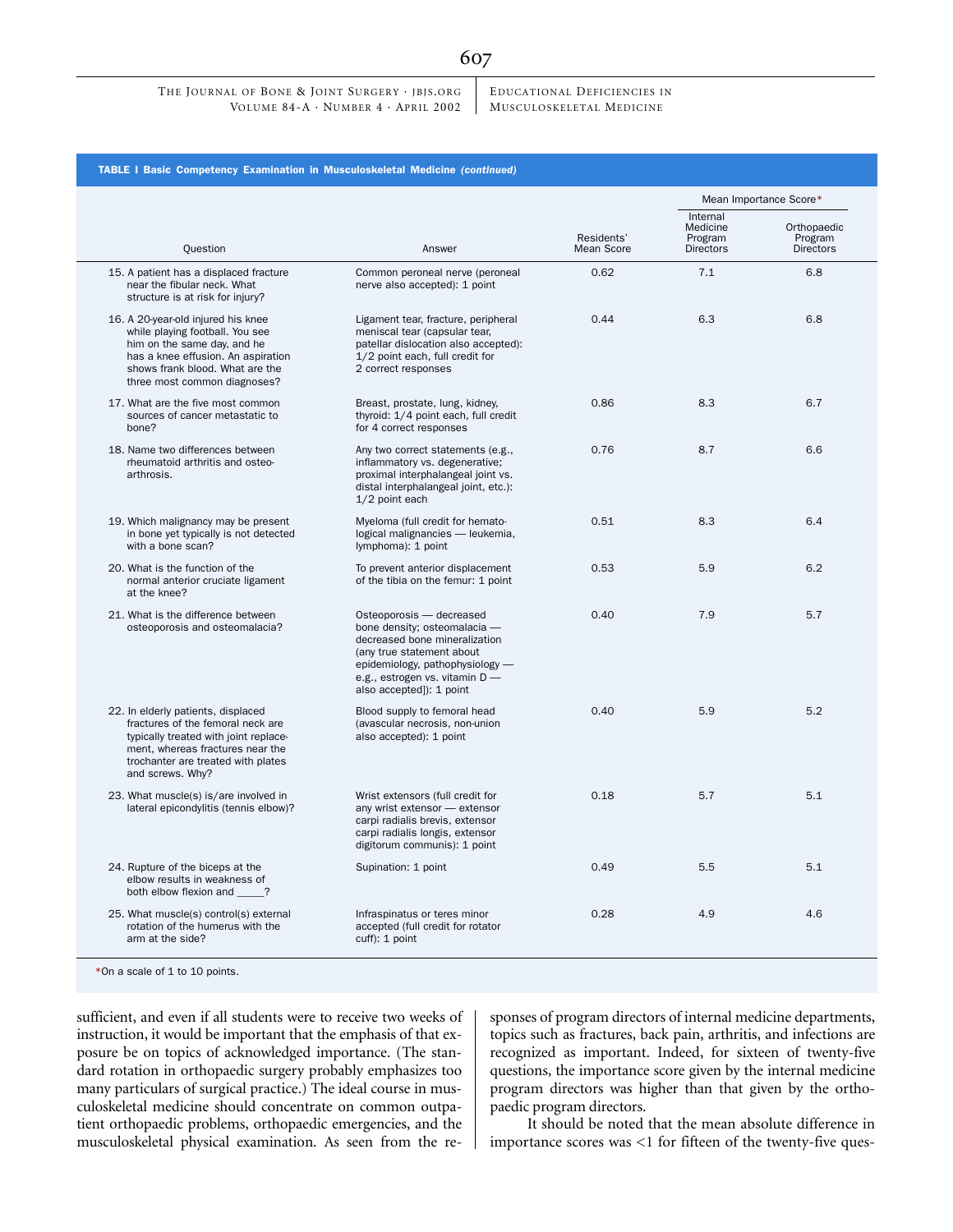EDUCATIONAL DEFICIENCIES IN MUSCULOSKELETAL MEDICINE

|                                                                                                                                                                                                                | Answer                                                                                                                                                                                                                  | Residents'<br>Mean Score | Mean Importance Score*                              |                                            |
|----------------------------------------------------------------------------------------------------------------------------------------------------------------------------------------------------------------|-------------------------------------------------------------------------------------------------------------------------------------------------------------------------------------------------------------------------|--------------------------|-----------------------------------------------------|--------------------------------------------|
| Question                                                                                                                                                                                                       |                                                                                                                                                                                                                         |                          | Internal<br>Medicine<br>Program<br><b>Directors</b> | Orthopaedic<br>Program<br><b>Directors</b> |
| 15. A patient has a displaced fracture<br>near the fibular neck. What<br>structure is at risk for injury?                                                                                                      | Common peroneal nerve (peroneal<br>nerve also accepted): 1 point                                                                                                                                                        | 0.62                     | 7.1                                                 | 6.8                                        |
| 16. A 20-year-old injured his knee<br>while playing football. You see<br>him on the same day, and he<br>has a knee effusion. An aspiration<br>shows frank blood. What are the<br>three most common diagnoses?  | Ligament tear, fracture, peripheral<br>meniscal tear (capsular tear,<br>patellar dislocation also accepted):<br>1/2 point each, full credit for<br>2 correct responses                                                  | 0.44                     | 6.3                                                 | 6.8                                        |
| 17. What are the five most common<br>sources of cancer metastatic to<br>bone?                                                                                                                                  | Breast, prostate, lung, kidney,<br>thyroid: 1/4 point each, full credit<br>for 4 correct responses                                                                                                                      | 0.86                     | 8.3                                                 | 6.7                                        |
| 18. Name two differences between<br>rheumatoid arthritis and osteo-<br>arthrosis.                                                                                                                              | Any two correct statements (e.g.,<br>inflammatory vs. degenerative;<br>proximal interphalangeal joint vs.<br>distal interphalangeal joint, etc.):<br>1/2 point each                                                     | 0.76                     | 8.7                                                 | 6.6                                        |
| 19. Which malignancy may be present<br>in bone yet typically is not detected<br>with a bone scan?                                                                                                              | Myeloma (full credit for hemato-<br>logical malignancies - leukemia,<br>lymphoma): 1 point                                                                                                                              | 0.51                     | 8.3                                                 | 6.4                                        |
| 20. What is the function of the<br>normal anterior cruciate ligament<br>at the knee?                                                                                                                           | To prevent anterior displacement<br>of the tibia on the femur: 1 point                                                                                                                                                  | 0.53                     | 5.9                                                 | 6.2                                        |
| 21. What is the difference between<br>osteoporosis and osteomalacia?                                                                                                                                           | Osteoporosis - decreased<br>bone density; osteomalacia -<br>decreased bone mineralization<br>(any true statement about<br>epidemiology, pathophysiology -<br>e.g., estrogen vs. vitamin D -<br>also accepted]): 1 point | 0.40                     | 7.9                                                 | 5.7                                        |
| 22. In elderly patients, displaced<br>fractures of the femoral neck are<br>typically treated with joint replace-<br>ment, whereas fractures near the<br>trochanter are treated with plates<br>and screws. Why? | Blood supply to femoral head<br>(avascular necrosis, non-union<br>also accepted): 1 point                                                                                                                               | 0.40                     | 5.9                                                 | 5.2                                        |
| 23. What muscle(s) is/are involved in<br>lateral epicondylitis (tennis elbow)?                                                                                                                                 | Wrist extensors (full credit for<br>any wrist extensor - extensor<br>carpi radialis brevis, extensor<br>carpi radialis longis, extensor<br>digitorum communis): 1 point                                                 | 0.18                     | 5.7                                                 | 5.1                                        |
| 24. Rupture of the biceps at the<br>elbow results in weakness of<br>both elbow flexion and _____?                                                                                                              | Supination: 1 point                                                                                                                                                                                                     | 0.49                     | 5.5                                                 | 5.1                                        |
| 25. What muscle(s) control(s) external<br>rotation of the humerus with the<br>arm at the side?                                                                                                                 | Infraspinatus or teres minor<br>accepted (full credit for rotator<br>cuff): 1 point                                                                                                                                     | 0.28                     | 4.9                                                 | 4.6                                        |

sufficient, and even if all students were to receive two weeks of instruction, it would be important that the emphasis of that exposure be on topics of acknowledged importance. (The standard rotation in orthopaedic surgery probably emphasizes too many particulars of surgical practice.) The ideal course in musculoskeletal medicine should concentrate on common outpatient orthopaedic problems, orthopaedic emergencies, and the musculoskeletal physical examination. As seen from the responses of program directors of internal medicine departments, topics such as fractures, back pain, arthritis, and infections are recognized as important. Indeed, for sixteen of twenty-five questions, the importance score given by the internal medicine program directors was higher than that given by the orthopaedic program directors.

It should be noted that the mean absolute difference in importance scores was <1 for fifteen of the twenty-five ques-